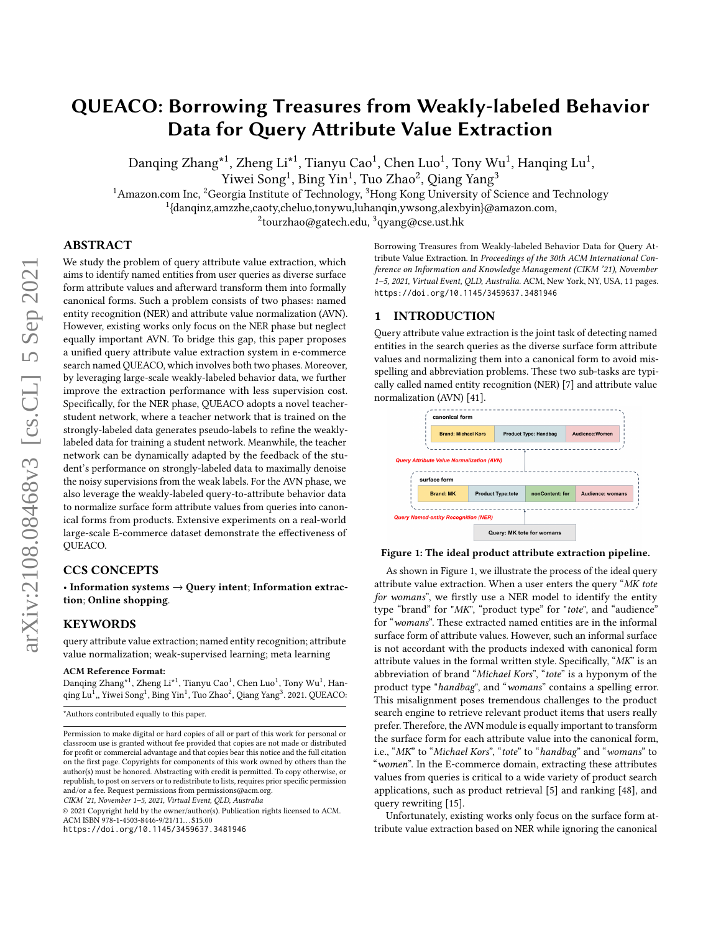# QUEACO: Borrowing Treasures from Weakly-labeled Behavior Data for Query Attribute Value Extraction

Danqing Zhang $^{\star1}$ , Zheng Li $^{\star1}$ , Tianyu Cao $^1$ , Chen Luo $^1$ , Tony Wu $^1$ , Hanqing Lu $^1$ ,

Yiwei Song<sup>1</sup>, Bing Yin<sup>1</sup>, Tuo Zhao<sup>2</sup>, Qiang Yang<sup>3</sup>

<sup>1</sup> Amazon.com Inc, <sup>2</sup>Georgia Institute of Technology, <sup>3</sup>Hong Kong University of Science and Technology

1 {danqinz,amzzhe,caoty,cheluo,tonywu,luhanqin,ywsong,alexbyin}@amazon.com,

 $^{2}$ tourzhao@gatech.edu,  $^{3}$ qyang@cse.ust.hk

# ABSTRACT

We study the problem of query attribute value extraction, which aims to identify named entities from user queries as diverse surface form attribute values and afterward transform them into formally canonical forms. Such a problem consists of two phases: named entity recognition (NER) and attribute value normalization (AVN). However, existing works only focus on the NER phase but neglect equally important AVN. To bridge this gap, this paper proposes a unified query attribute value extraction system in e-commerce search named QUEACO, which involves both two phases. Moreover, by leveraging large-scale weakly-labeled behavior data, we further improve the extraction performance with less supervision cost. Specifically, for the NER phase, QUEACO adopts a novel teacherstudent network, where a teacher network that is trained on the strongly-labeled data generates pseudo-labels to refine the weaklylabeled data for training a student network. Meanwhile, the teacher network can be dynamically adapted by the feedback of the student's performance on strongly-labeled data to maximally denoise the noisy supervisions from the weak labels. For the AVN phase, we also leverage the weakly-labeled query-to-attribute behavior data to normalize surface form attribute values from queries into canonical forms from products. Extensive experiments on a real-world large-scale E-commerce dataset demonstrate the effectiveness of QUEACO.

# CCS CONCEPTS

• Information systems  $\rightarrow$  Query intent; Information extraction; Online shopping.

# KEYWORDS

query attribute value extraction; named entity recognition; attribute value normalization; weak-supervised learning; meta learning

### ACM Reference Format:

Danqing Zhang\*<sup>1</sup>, Zheng Li\*<sup>1</sup>, Tianyu Cao<sup>1</sup>, Chen Luo<sup>1</sup>, Tony Wu<sup>1</sup>, Hanqing Lu<sup>1</sup>,, Yiwei Song<sup>1</sup>, Bing Yin<sup>1</sup>, Tuo Zhao<sup>2</sup>, Qiang Yang<sup>3</sup>. 2021. QUEACO:

CIKM '21, November 1–5, 2021, Virtual Event, QLD, Australia

© 2021 Copyright held by the owner/author(s). Publication rights licensed to ACM. ACM ISBN 978-1-4503-8446-9/21/11. . . \$15.00 <https://doi.org/10.1145/3459637.3481946>

Borrowing Treasures from Weakly-labeled Behavior Data for Query Attribute Value Extraction. In Proceedings of the 30th ACM International Conference on Information and Knowledge Management (CIKM '21), November 1–5, 2021, Virtual Event, QLD, Australia. ACM, New York, NY, USA, [11](#page-10-0) pages. <https://doi.org/10.1145/3459637.3481946>

# 1 INTRODUCTION

Query attribute value extraction is the joint task of detecting named entities in the search queries as the diverse surface form attribute values and normalizing them into a canonical form to avoid misspelling and abbreviation problems. These two sub-tasks are typically called named entity recognition (NER) [\[7\]](#page-9-0) and attribute value normalization (AVN) [\[41\]](#page-9-1).

<span id="page-0-0"></span>

#### Figure 1: The ideal product attribute extraction pipeline.

As shown in Figure [1,](#page-0-0) we illustrate the process of the ideal query attribute value extraction. When a user enters the query "MK tote for womans", we firstly use a NER model to identify the entity type "brand" for "MK", "product type" for "tote", and "audience" for "womans". These extracted named entities are in the informal surface form of attribute values. However, such an informal surface is not accordant with the products indexed with canonical form attribute values in the formal written style. Specifically, "MK" is an abbreviation of brand "Michael Kors", "tote" is a hyponym of the product type "handbag", and "womans" contains a spelling error. This misalignment poses tremendous challenges to the product search engine to retrieve relevant product items that users really prefer. Therefore, the AVN module is equally important to transform the surface form for each attribute value into the canonical form, i.e., "MK" to "Michael Kors", "tote" to "handbag" and "womans" to "women". In the E-commerce domain, extracting these attributes values from queries is critical to a wide variety of product search applications, such as product retrieval [\[5\]](#page-9-2) and ranking [\[48\]](#page-9-3), and query rewriting [\[15\]](#page-9-4).

Unfortunately, existing works only focus on the surface form attribute value extraction based on NER while ignoring the canonical

<sup>\*</sup>Authors contributed equally to this paper.

Permission to make digital or hard copies of all or part of this work for personal or classroom use is granted without fee provided that copies are not made or distributed for profit or commercial advantage and that copies bear this notice and the full citation on the first page. Copyrights for components of this work owned by others than the author(s) must be honored. Abstracting with credit is permitted. To copy otherwise, or republish, to post on servers or to redistribute to lists, requires prior specific permission and/or a fee. Request permissions from permissions@acm.org.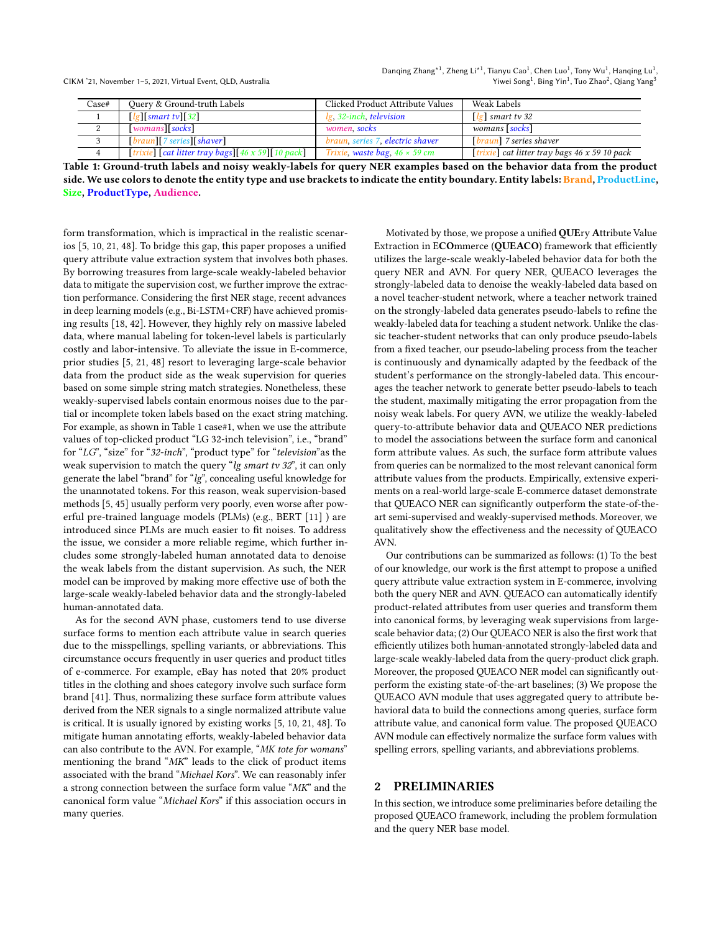<span id="page-1-0"></span>

| Case# | Query & Ground-truth Labels                       | Clicked Product Attribute Values     | Weak Labels                                          |
|-------|---------------------------------------------------|--------------------------------------|------------------------------------------------------|
|       | $\lceil \lg \rceil$ smart tv $\lceil 32 \rceil$   | lg, 32-inch, television              | [ $\lg$ ] smart tv 32                                |
|       | womans socks                                      | women, socks                         | womans [socks]                                       |
|       | $[branch]$ 7 series $[shaver]$                    | braun, series 7, electric shaver     | [braun] 7 series shaver                              |
|       | [trixie] [cat litter tray bags][46 x 59][10 pack] | Trixie, waste bag, $46 \times 59$ cm | [trixie] cat litter tray bags $46 \times 59$ 10 pack |

Table 1: Ground-truth labels and noisy weakly-labels for query NER examples based on the behavior data from the product side. We use colors to denote the entity type and use brackets to indicate the entity boundary. Entity labels: Brand, ProductLine, Size, ProductType, Audience.

form transformation, which is impractical in the realistic scenarios [\[5,](#page-9-2) [10,](#page-9-5) [21,](#page-9-6) [48\]](#page-9-3). To bridge this gap, this paper proposes a unified query attribute value extraction system that involves both phases. By borrowing treasures from large-scale weakly-labeled behavior data to mitigate the supervision cost, we further improve the extraction performance. Considering the first NER stage, recent advances in deep learning models (e.g., Bi-LSTM+CRF) have achieved promising results [\[18,](#page-9-7) [42\]](#page-9-8). However, they highly rely on massive labeled data, where manual labeling for token-level labels is particularly costly and labor-intensive. To alleviate the issue in E-commerce, prior studies [\[5,](#page-9-2) [21,](#page-9-6) [48\]](#page-9-3) resort to leveraging large-scale behavior data from the product side as the weak supervision for queries based on some simple string match strategies. Nonetheless, these weakly-supervised labels contain enormous noises due to the partial or incomplete token labels based on the exact string matching. For example, as shown in Table [1](#page-1-0) case#1, when we use the attribute values of top-clicked product "LG 32-inch television", i.e., "brand" for "LG", "size" for "32-inch", "product type" for "television"as the weak supervision to match the query "lg smart tv 32", it can only generate the label "brand" for "lg", concealing useful knowledge for the unannotated tokens. For this reason, weak supervision-based methods [\[5,](#page-9-2) [45\]](#page-9-9) usually perform very poorly, even worse after powerful pre-trained language models (PLMs) (e.g., BERT [\[11\]](#page-9-10) ) are introduced since PLMs are much easier to fit noises. To address the issue, we consider a more reliable regime, which further includes some strongly-labeled human annotated data to denoise the weak labels from the distant supervision. As such, the NER model can be improved by making more effective use of both the large-scale weakly-labeled behavior data and the strongly-labeled human-annotated data.

As for the second AVN phase, customers tend to use diverse surface forms to mention each attribute value in search queries due to the misspellings, spelling variants, or abbreviations. This circumstance occurs frequently in user queries and product titles of e-commerce. For example, eBay has noted that 20% product titles in the clothing and shoes category involve such surface form brand [\[41\]](#page-9-1). Thus, normalizing these surface form attribute values derived from the NER signals to a single normalized attribute value is critical. It is usually ignored by existing works [\[5,](#page-9-2) [10,](#page-9-5) [21,](#page-9-6) [48\]](#page-9-3). To mitigate human annotating efforts, weakly-labeled behavior data can also contribute to the AVN. For example, "MK tote for womans" mentioning the brand "MK" leads to the click of product items associated with the brand "Michael Kors". We can reasonably infer a strong connection between the surface form value "MK" and the canonical form value "Michael Kors" if this association occurs in many queries.

Motivated by those, we propose a unified QUEry Attribute Value Extraction in ECOmmerce (QUEACO) framework that efficiently utilizes the large-scale weakly-labeled behavior data for both the query NER and AVN. For query NER, QUEACO leverages the strongly-labeled data to denoise the weakly-labeled data based on a novel teacher-student network, where a teacher network trained on the strongly-labeled data generates pseudo-labels to refine the weakly-labeled data for teaching a student network. Unlike the classic teacher-student networks that can only produce pseudo-labels from a fixed teacher, our pseudo-labeling process from the teacher is continuously and dynamically adapted by the feedback of the student's performance on the strongly-labeled data. This encourages the teacher network to generate better pseudo-labels to teach the student, maximally mitigating the error propagation from the noisy weak labels. For query AVN, we utilize the weakly-labeled query-to-attribute behavior data and QUEACO NER predictions to model the associations between the surface form and canonical form attribute values. As such, the surface form attribute values from queries can be normalized to the most relevant canonical form attribute values from the products. Empirically, extensive experiments on a real-world large-scale E-commerce dataset demonstrate that QUEACO NER can significantly outperform the state-of-theart semi-supervised and weakly-supervised methods. Moreover, we qualitatively show the effectiveness and the necessity of QUEACO AVN.

Our contributions can be summarized as follows: (1) To the best of our knowledge, our work is the first attempt to propose a unified query attribute value extraction system in E-commerce, involving both the query NER and AVN. QUEACO can automatically identify product-related attributes from user queries and transform them into canonical forms, by leveraging weak supervisions from largescale behavior data; (2) Our QUEACO NER is also the first work that efficiently utilizes both human-annotated strongly-labeled data and large-scale weakly-labeled data from the query-product click graph. Moreover, the proposed QUEACO NER model can significantly outperform the existing state-of-the-art baselines; (3) We propose the QUEACO AVN module that uses aggregated query to attribute behavioral data to build the connections among queries, surface form attribute value, and canonical form value. The proposed QUEACO AVN module can effectively normalize the surface form values with spelling errors, spelling variants, and abbreviations problems.

# 2 PRELIMINARIES

In this section, we introduce some preliminaries before detailing the proposed QUEACO framework, including the problem formulation and the query NER base model.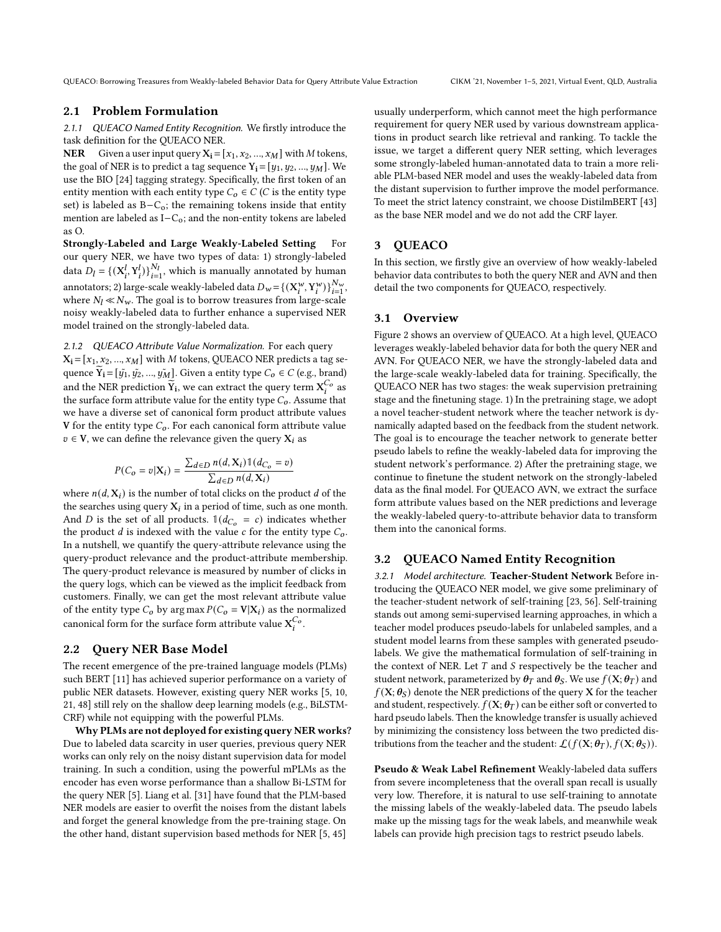QUEACO: Borrowing Treasures from Weakly-labeled Behavior Data for Query Attribute Value Extraction CIKM '21, November 1–5, 2021, Virtual Event, QLD, Australia

# 2.1 Problem Formulation

2.1.1 QUEACO Named Entity Recognition. We firstly introduce the task definition for the QUEACO NER.

**NER** Given a user input query  $X_i = [x_1, x_2, ..., x_M]$  with M tokens, the goal of NER is to predict a tag sequence  $Y_i = [y_1, y_2, ..., y_M]$ . We use the BIO [\[24\]](#page-9-11) tagging strategy. Specifically, the first token of an entity mention with each entity type  $C_0 \in C$  (C is the entity type set) is labeled as B-C<sub>o</sub>; the remaining tokens inside that entity mention are labeled as I−Co; and the non-entity tokens are labeled as O.

Strongly-Labeled and Large Weakly-Labeled Setting For our query NER, we have two types of data: 1) strongly-labeled data  $D_l = \{ (\mathbf{X}_i^l, \mathbf{Y}_i^l) \}_{i=1}^{N_l}$ , which is manually annotated by human annotators; 2) large-scale weakly-labeled data  $D_w = \left\{ (X_i^w, Y_i^w) \right\}_{i=1}^{N_w}$ , where  $N_l \ll N_w$ . The goal is to borrow treasures from large-scale noisy weakly-labeled data to further enhance a supervised NER model trained on the strongly-labeled data.

# <span id="page-2-0"></span>2.1.2 QUEACO Attribute Value Normalization. For each query

 $X_i = [x_1, x_2, ..., x_M]$  with M tokens, QUEACO NER predicts a tag sequence  $Y_i = [\tilde{y_1}, \tilde{y_2}, ..., \tilde{y_M}]$ . Given a entity type  $C_o \in C$  (e.g., brand) and the NER prediction  $\widetilde{Y}_i$ , we can extract the query term  $X_i^{C_o}$  as the surface form attribute value for the entity type  $C<sub>o</sub>$ . Assume that we have a diverse set of canonical form product attribute values V for the entity type  $C_0$ . For each canonical form attribute value  $v \in V$ , we can define the relevance given the query  $X_i$  as

$$
P(C_o = v | \mathbf{X}_i) = \frac{\sum_{d \in D} n(d, \mathbf{X}_i) \mathbb{1}(d_{C_o} = v)}{\sum_{d \in D} n(d, \mathbf{X}_i)}
$$

where  $n(d, X_i)$  is the number of total clicks on the product d of the the searches using query  $\mathrm{X}_i$  in a period of time, such as one month. And D is the set of all products.  $\mathbb{1}(d_{C_o} = c)$  indicates whether the product  $d$  is indexed with the value  $c$  for the entity type  $C_0$ . In a nutshell, we quantify the query-attribute relevance using the query-product relevance and the product-attribute membership. The query-product relevance is measured by number of clicks in the query logs, which can be viewed as the implicit feedback from customers. Finally, we can get the most relevant attribute value of the entity type  $C_o$  by arg max  $P(C_o = V|X_i)$  as the normalized canonical form for the surface form attribute value  $X_i^{C_o}$ .

# <span id="page-2-2"></span>2.2 Query NER Base Model

The recent emergence of the pre-trained language models (PLMs) such BERT [\[11\]](#page-9-10) has achieved superior performance on a variety of public NER datasets. However, existing query NER works [\[5,](#page-9-2) [10,](#page-9-5) [21,](#page-9-6) [48\]](#page-9-3) still rely on the shallow deep learning models (e.g., BiLSTM-CRF) while not equipping with the powerful PLMs.

Why PLMs are not deployed for existing query NER works? Due to labeled data scarcity in user queries, previous query NER works can only rely on the noisy distant supervision data for model training. In such a condition, using the powerful mPLMs as the encoder has even worse performance than a shallow Bi-LSTM for the query NER [\[5\]](#page-9-2). Liang et al. [\[31\]](#page-9-12) have found that the PLM-based NER models are easier to overfit the noises from the distant labels and forget the general knowledge from the pre-training stage. On the other hand, distant supervision based methods for NER [\[5,](#page-9-2) [45\]](#page-9-9)

usually underperform, which cannot meet the high performance requirement for query NER used by various downstream applications in product search like retrieval and ranking. To tackle the issue, we target a different query NER setting, which leverages some strongly-labeled human-annotated data to train a more reliable PLM-based NER model and uses the weakly-labeled data from the distant supervision to further improve the model performance. To meet the strict latency constraint, we choose DistilmBERT [\[43\]](#page-9-13) as the base NER model and we do not add the CRF layer.

# 3 QUEACO

In this section, we firstly give an overview of how weakly-labeled behavior data contributes to both the query NER and AVN and then detail the two components for QUEACO, respectively.

### 3.1 Overview

Figure [2](#page-3-0) shows an overview of QUEACO. At a high level, QUEACO leverages weakly-labeled behavior data for both the query NER and AVN. For QUEACO NER, we have the strongly-labeled data and the large-scale weakly-labeled data for training. Specifically, the QUEACO NER has two stages: the weak supervision pretraining stage and the finetuning stage. 1) In the pretraining stage, we adopt a novel teacher-student network where the teacher network is dynamically adapted based on the feedback from the student network. The goal is to encourage the teacher network to generate better pseudo labels to refine the weakly-labeled data for improving the student network's performance. 2) After the pretraining stage, we continue to finetune the student network on the strongly-labeled data as the final model. For QUEACO AVN, we extract the surface form attribute values based on the NER predictions and leverage the weakly-labeled query-to-attribute behavior data to transform them into the canonical forms.

# <span id="page-2-1"></span>3.2 QUEACO Named Entity Recognition

3.2.1 Model architecture. Teacher-Student Network Before introducing the QUEACO NER model, we give some preliminary of the teacher-student network of self-training [\[23,](#page-9-14) [56\]](#page-10-1). Self-training stands out among semi-supervised learning approaches, in which a teacher model produces pseudo-labels for unlabeled samples, and a student model learns from these samples with generated pseudolabels. We give the mathematical formulation of self-training in the context of NER. Let  $T$  and  $S$  respectively be the teacher and student network, parameterized by  $\theta_T$  and  $\theta_S$ . We use  $f(X; \theta_T)$  and  $f(X; \theta_S)$  denote the NER predictions of the query X for the teacher and student, respectively.  $f(\mathbf{X}; \boldsymbol{\theta}_T)$  can be either soft or converted to hard pseudo labels. Then the knowledge transfer is usually achieved by minimizing the consistency loss between the two predicted distributions from the teacher and the student:  $\mathcal{L}(f(\mathbf{X}; \boldsymbol{\theta}_T), f(\mathbf{X}; \boldsymbol{\theta}_S)).$ 

Pseudo & Weak Label Refinement Weakly-labeled data suffers from severe incompleteness that the overall span recall is usually very low. Therefore, it is natural to use self-training to annotate the missing labels of the weakly-labeled data. The pseudo labels make up the missing tags for the weak labels, and meanwhile weak labels can provide high precision tags to restrict pseudo labels.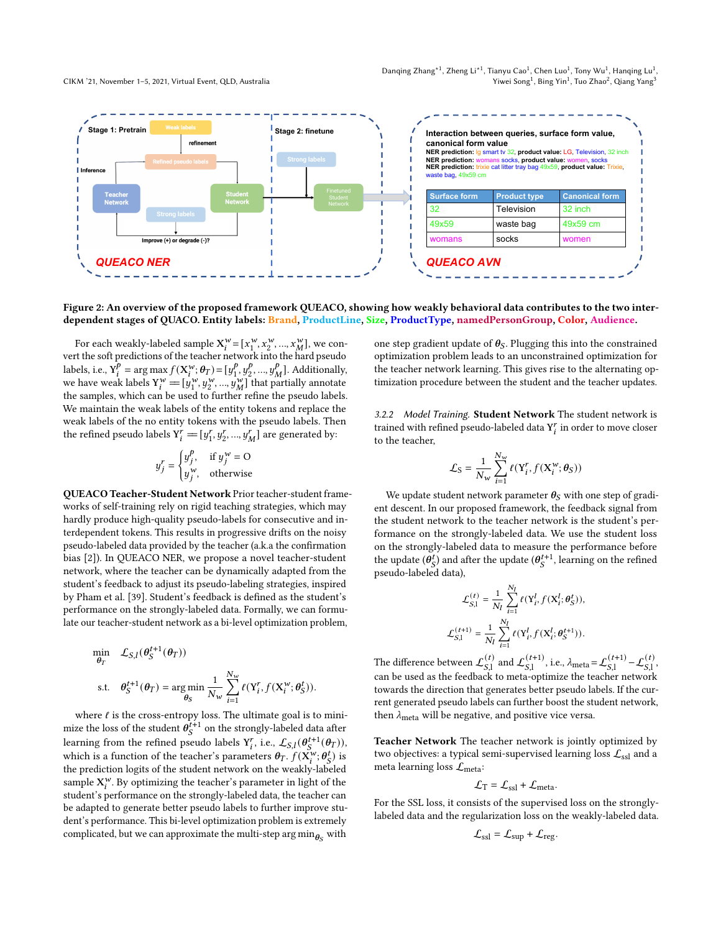Danqing Zhang $^{\ast1}$ , Zheng Li $^{\ast1}$ , Tianyu Cao $^1$ , Chen Luo $^1$ , Tony Wu $^1$ , Hanqing Lu $^1$ , Yiwei Song $^1$ , Bing Yin $^1$ , Tuo Zhao $^2$ , Qiang Yang $^3$ 

<span id="page-3-0"></span>

### Figure 2: An overview of the proposed framework QUEACO, showing how weakly behavioral data contributes to the two interdependent stages of QUACO. Entity labels: Brand, ProductLine, Size, ProductType, namedPersonGroup, Color, Audience.

For each weakly-labeled sample  $X_i^w = [x_1^w]$  $\left[ x_1^w, x_2^w, ..., x_M^w \right]$ , we convert the soft predictions of the teacher network into the hard pseudo labels, i.e.,  $Y_i^p$  $f_i^p = \arg \max f(X_i^w; \theta_T) = [y_1^p]$  $\frac{p}{1}, \frac{p}{2}$  $\frac{p}{2}, ..., y_N^p$  $_{M}^{p}$ ]. Additionally, we have weak labels  $Y_i^w = [y_1^w]$  $\left[ \begin{array}{c} u, u, v, v, v, v, v, w \\ v, u, v, w, w \end{array} \right]$  that partially annotate the samples, which can be used to further refine the pseudo labels. We maintain the weak labels of the entity tokens and replace the weak labels of the no entity tokens with the pseudo labels. Then the refined pseudo labels  $\text{Y}_i^r = [y_1^r]$  $\left[r_1, y_2^r, ..., y_M^r\right]$  are generated by:

$$
y_j^r = \begin{cases} y_j^p, & \text{if } y_j^w = \text{O} \\ y_j^w, & \text{otherwise} \end{cases}
$$

QUEACO Teacher-Student Network Prior teacher-student frameworks of self-training rely on rigid teaching strategies, which may hardly produce high-quality pseudo-labels for consecutive and interdependent tokens. This results in progressive drifts on the noisy pseudo-labeled data provided by the teacher (a.k.a the confirmation bias [\[2\]](#page-9-15)). In QUEACO NER, we propose a novel teacher-student network, where the teacher can be dynamically adapted from the student's feedback to adjust its pseudo-labeling strategies, inspired by Pham et al. [\[39\]](#page-9-16). Student's feedback is defined as the student's performance on the strongly-labeled data. Formally, we can formulate our teacher-student network as a bi-level optimization problem,

$$
\begin{aligned}\n\min_{\theta_T} \quad & \mathcal{L}_{S,l}(\theta_S^{t+1}(\theta_T)) \\
\text{s.t.} \quad & \theta_S^{t+1}(\theta_T) = \underset{\theta_S}{\arg\min} \frac{1}{N_w} \sum_{i=1}^{N_w} \ell(Y_i^r, f(\mathbf{X}_i^{w}; \theta_S^t)).\n\end{aligned}
$$

where  $\ell$  is the cross-entropy loss. The ultimate goal is to minimize the loss of the student  $\theta_{S}^{t+1}$  on the strongly-labeled data after learning from the refined pseudo labels  $Y_i^r$ , i.e.,  $\mathcal{L}_{S,I}(\theta_S^{t+1}(\theta_T)),$ which is a function of the teacher's parameters  $\theta_T$ .  $f(\mathbf{X}_i^w; \theta_S^t)$  is the prediction logits of the student network on the weakly-labeled sample  $X_i^w$ . By optimizing the teacher's parameter in light of the student's performance on the strongly-labeled data, the teacher can be adapted to generate better pseudo labels to further improve student's performance. This bi-level optimization problem is extremely complicated, but we can approximate the multi-step  $\arg\min_{\boldsymbol{\theta}_{S}}$  with

one step gradient update of  $\theta_S$ . Plugging this into the constrained optimization problem leads to an unconstrained optimization for the teacher network learning. This gives rise to the alternating optimization procedure between the student and the teacher updates.

3.2.2 Model Training. Student Network The student network is trained with refined pseudo-labeled data  $\mathbf{Y}_i^r$  in order to move closer to the teacher,

$$
\mathcal{L}_{\rm S} = \frac{1}{N_{\rm w}} \sum_{i=1}^{N_{\rm w}} \ell({\rm Y}_i^r, f({\rm X}_i^w; \theta_{\rm S}))
$$

We update student network parameter  $\theta_{\rm S}$  with one step of gradient descent. In our proposed framework, the feedback signal from the student network to the teacher network is the student's performance on the strongly-labeled data. We use the student loss on the strongly-labeled data to measure the performance before the update  $(\theta_S^t)$  and after the update  $(\theta_S^{t+1})$ , learning on the refined pseudo-labeled data),

$$
\begin{aligned} \mathcal{L}^{(t)}_{S,\mathbf{l}} &= \frac{1}{N_l} \sum_{i=1}^{N_l} \ell(\mathbf{Y}^l_i, f(\mathbf{X}^l_i; \theta^t_S)), \\ \mathcal{L}^{(t+1)}_{S,\mathbf{l}} &= \frac{1}{N_l} \sum_{i=1}^{N_l} \ell(\mathbf{Y}^l_i, f(\mathbf{X}^l_i; \theta^{t+1}_S)). \end{aligned}
$$

The difference between  $\mathcal{L}_{S1}^{(t)}$  $\int_{S,1}^{(t)}$  and  $\mathcal{L}_{S,1}^{(t+1)}$  $_{S,1}^{(t+1)}$ , i.e.,  $\lambda_{\text{meta}} = \mathcal{L}_{S,1}^{(t+1)}$  $\mathcal{L}_{S,1}^{(t+1)} - \mathcal{L}_{S,1}^{(t)},$ can be used as the feedback to meta-optimize the teacher network towards the direction that generates better pseudo labels. If the current generated pseudo labels can further boost the student network, then  $\lambda_{\text{meta}}$  will be negative, and positive vice versa.

Teacher Network The teacher network is jointly optimized by two objectives: a typical semi-supervised learning loss  $\mathcal{L}_{\text{ssl}}$  and a meta learning loss  $\mathcal{L}_{meta}$ :

$$
\mathcal{L}_{\text{T}} = \mathcal{L}_{\text{ssl}} + \mathcal{L}_{\text{meta}}.
$$

For the SSL loss, it consists of the supervised loss on the stronglylabeled data and the regularization loss on the weakly-labeled data.

$$
\mathcal{L}_{\text{ssl}} = \mathcal{L}_{\text{sup}} + \mathcal{L}_{\text{reg}}.
$$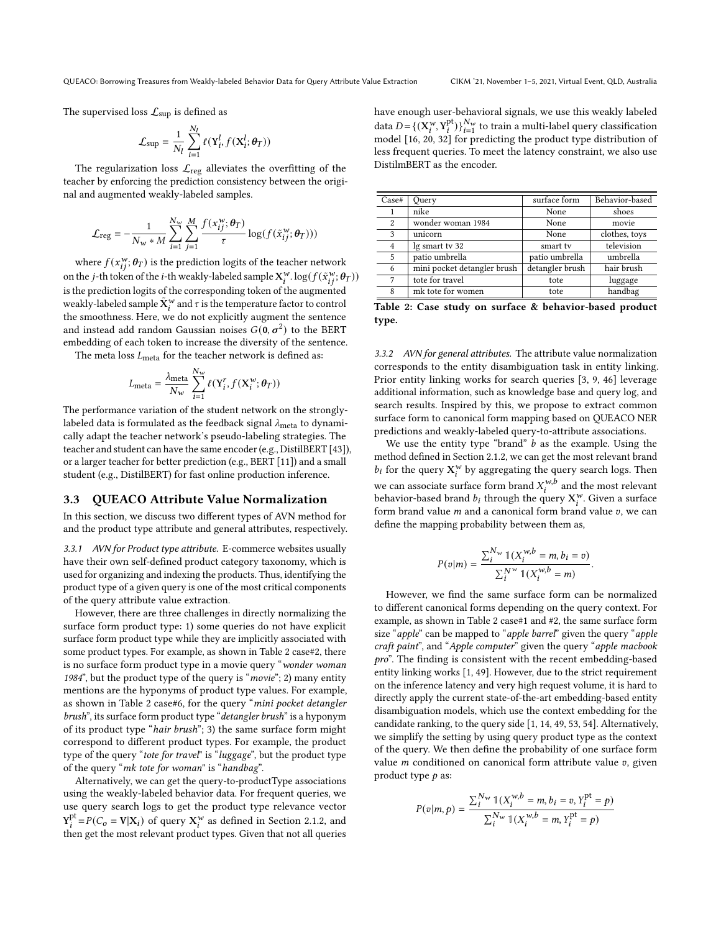The supervised loss  $\mathcal{L}_{\text{sup}}$  is defined as

$$
\mathcal{L}_{\text{sup}} = \frac{1}{N_l} \sum_{i=1}^{N_l} \ell(Y_i^l, f(\mathbf{X}_i^l; \boldsymbol{\theta}_T))
$$

The regularization loss  $\mathcal{L}_{reg}$  alleviates the overfitting of the teacher by enforcing the prediction consistency between the original and augmented weakly-labeled samples.

$$
\mathcal{L}_{\text{reg}} = -\frac{1}{N_w * M} \sum_{i=1}^{N_w} \sum_{j=1}^{M} \frac{f(x_{ij}^w; \theta_T)}{\tau} \log(f(\tilde{x}_{ij}^w; \theta_T)))
$$

where  $f(x_{ii}^w; \theta_T)$  is the prediction logits of the teacher network on the j-th token of the i-th weakly-labeled sample  $X_i^w$ .  $\log(f(\tilde{x}_{i}^w; \theta_T))$ is the prediction logits of the corresponding token of the augmented weakly-labeled sample  $\tilde{X}_i^w$  and  $\tau$  is the temperature factor to control the smoothness. Here, we do not explicitly augment the sentence and instead add random Gaussian noises  $G(\mathbf{0}, \sigma^2)$  to the BERT embedding of each token to increase the diversity of the sentence.

The meta loss  $L_{\text{meta}}$  for the teacher network is defined as:

$$
L_{\text{meta}} = \frac{\lambda_{\text{meta}}}{N_w} \sum_{i=1}^{N_w} \ell(Y_i^r, f(\mathbf{X}^w_i; \boldsymbol{\theta}_T))
$$

The performance variation of the student network on the stronglylabeled data is formulated as the feedback signal  $\lambda_{\text{meta}}$  to dynamically adapt the teacher network's pseudo-labeling strategies. The teacher and student can have the same encoder (e.g., DistilBERT [\[43\]](#page-9-13)), or a larger teacher for better prediction (e.g., BERT [\[11\]](#page-9-10)) and a small student (e.g., DistilBERT) for fast online production inference.

#### 3.3 QUEACO Attribute Value Normalization

In this section, we discuss two different types of AVN method for and the product type attribute and general attributes, respectively.

<span id="page-4-1"></span>3.3.1 AVN for Product type attribute. E-commerce websites usually have their own self-defined product category taxonomy, which is used for organizing and indexing the products. Thus, identifying the product type of a given query is one of the most critical components of the query attribute value extraction.

However, there are three challenges in directly normalizing the surface form product type: 1) some queries do not have explicit surface form product type while they are implicitly associated with some product types. For example, as shown in Table [2](#page-4-0) case#2, there is no surface form product type in a movie query "wonder woman 1984", but the product type of the query is "movie"; 2) many entity mentions are the hyponyms of product type values. For example, as shown in Table [2](#page-4-0) case#6, for the query "mini pocket detangler brush", its surface form product type "detangler brush" is a hyponym of its product type "hair brush"; 3) the same surface form might correspond to different product types. For example, the product type of the query "tote for travel" is "luggage", but the product type of the query "mk tote for woman" is "handbag".

Alternatively, we can get the query-to-productType associations using the weakly-labeled behavior data. For frequent queries, we use query search logs to get the product type relevance vector  $Y_i^{\text{pt}} = P(C_0 = V | X_i)$  of query  $X_i^{\text{w}}$  as defined in Section [2.1.2,](#page-2-0) and then get the most relevant product types. Given that not all queries have enough user-behavioral signals, we use this weakly labeled data  $D = \{(\mathbf{X}_i^w, \mathbf{Y}_i^{pt})\}_{i=1}^{N_w}$  to train a multi-label query classification model [\[16,](#page-9-17) [20,](#page-9-18) [32\]](#page-9-19) for predicting the product type distribution of less frequent queries. To meet the latency constraint, we also use DistilmBERT as the encoder.

<span id="page-4-0"></span>

| Case#          | Query                       | surface form    | Behavior-based |
|----------------|-----------------------------|-----------------|----------------|
|                | nike                        | None            | shoes          |
| $\overline{c}$ | wonder woman 1984           | None            | movie          |
| 3              | unicorn                     | None            | clothes, toys  |
| $\overline{4}$ | lg smart tv 32              | smart tv        | television     |
| 5              | patio umbrella              | patio umbrella  | umbrella       |
| 6              | mini pocket detangler brush | detangler brush | hair brush     |
| 7              | tote for travel             | tote            | luggage        |
| 8              | mk tote for women           | tote            | handbag        |

Table 2: Case study on surface & behavior-based product type.

3.3.2 AVN for general attributes. The attribute value normalization corresponds to the entity disambiguation task in entity linking. Prior entity linking works for search queries [\[3,](#page-9-20) [9,](#page-9-21) [46\]](#page-9-22) leverage additional information, such as knowledge base and query log, and search results. Inspired by this, we propose to extract common surface form to canonical form mapping based on QUEACO NER predictions and weakly-labeled query-to-attribute associations.

We use the entity type "brand"  $b$  as the example. Using the method defined in Section [2.1.2,](#page-2-0) we can get the most relevant brand  $b_i$  for the query  $X_i^w$  by aggregating the query search logs. Then we can associate surface form brand  $X_i^{w,b}$  and the most relevant behavior-based brand  $b_i$  through the query  $\mathbf{X}^w_i$ . Given a surface form brand value  $m$  and a canonical form brand value  $v$ , we can define the mapping probability between them as,

$$
P(v|m) = \frac{\sum_{i}^{N_w} \mathbb{1}(X_i^{w,b} = m, b_i = v)}{\sum_{i}^{N^w} \mathbb{1}(X_i^{w,b} = m)}
$$

.

However, we find the same surface form can be normalized to different canonical forms depending on the query context. For example, as shown in Table [2](#page-4-0) case#1 and #2, the same surface form size "apple" can be mapped to "apple barrel" given the query "apple craft paint", and "Apple computer" given the query "apple macbook pro". The finding is consistent with the recent embedding-based entity linking works [\[1,](#page-9-23) [49\]](#page-9-24). However, due to the strict requirement on the inference latency and very high request volume, it is hard to directly apply the current state-of-the-art embedding-based entity disambiguation models, which use the context embedding for the candidate ranking, to the query side [\[1,](#page-9-23) [14,](#page-9-25) [49,](#page-9-24) [53,](#page-10-2) [54\]](#page-10-3). Alternatively, we simplify the setting by using query product type as the context of the query. We then define the probability of one surface form value  $m$  conditioned on canonical form attribute value  $v$ , given product type  $p$  as:

$$
P(v|m, p) = \frac{\sum_{i}^{N_w} \mathbb{1}(X_i^{w, b} = m, b_i = v, Y_i^{pt} = p)}{\sum_{i}^{N_w} \mathbb{1}(X_i^{w, b} = m, Y_i^{pt} = p)}
$$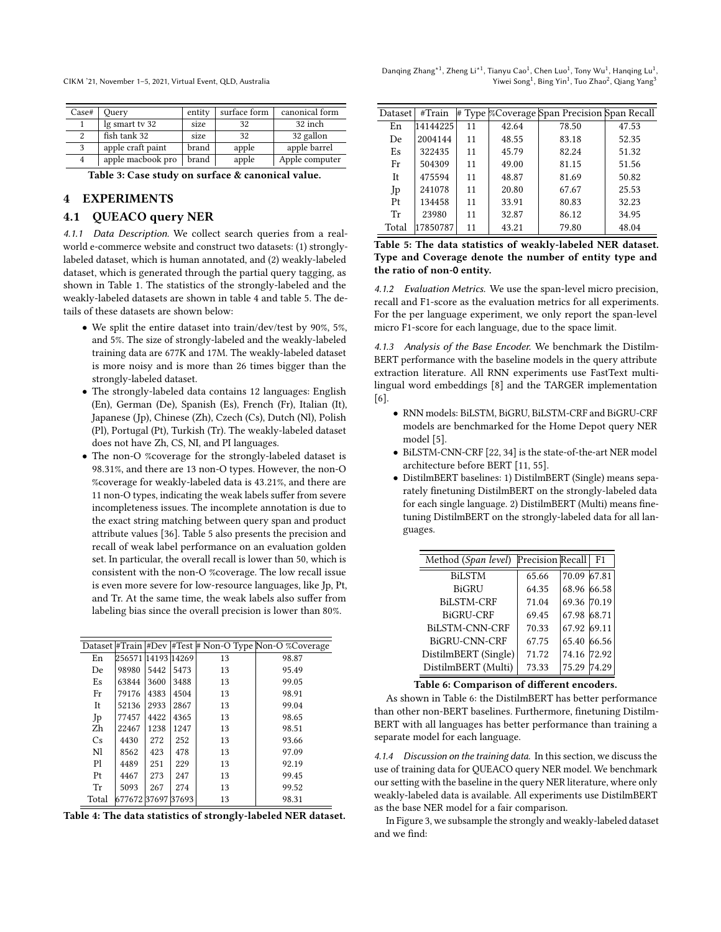| Case#          | Ouerv             | entity | surface form | canonical form |
|----------------|-------------------|--------|--------------|----------------|
|                | lg smart tv 32    | size   | 32           | 32 inch        |
| 2              | fish tank 32      | size   | 32           | 32 gallon      |
| 3              | apple craft paint | brand  | apple        | apple barrel   |
| $\overline{4}$ | apple macbook pro | brand  | apple        | Apple computer |

Table 3: Case study on surface & canonical value.

# 4 EXPERIMENTS

# 4.1 QUEACO query NER

4.1.1 Data Description. We collect search queries from a realworld e-commerce website and construct two datasets: (1) stronglylabeled dataset, which is human annotated, and (2) weakly-labeled dataset, which is generated through the partial query tagging, as shown in Table [1.](#page-1-0) The statistics of the strongly-labeled and the weakly-labeled datasets are shown in table [4](#page-5-0) and table [5.](#page-5-1) The details of these datasets are shown below:

- We split the entire dataset into train/dev/test by 90%, 5%, and 5%. The size of strongly-labeled and the weakly-labeled training data are 677K and 17M. The weakly-labeled dataset is more noisy and is more than 26 times bigger than the strongly-labeled dataset.
- The strongly-labeled data contains 12 languages: English (En), German (De), Spanish (Es), French (Fr), Italian (It), Japanese (Jp), Chinese (Zh), Czech (Cs), Dutch (Nl), Polish (Pl), Portugal (Pt), Turkish (Tr). The weakly-labeled dataset does not have Zh, CS, NI, and PI languages.
- The non-O %coverage for the strongly-labeled dataset is 98.31%, and there are 13 non-O types. However, the non-O %coverage for weakly-labeled data is 43.21%, and there are 11 non-O types, indicating the weak labels suffer from severe incompleteness issues. The incomplete annotation is due to the exact string matching between query span and product attribute values [\[36\]](#page-9-26). Table [5](#page-5-1) also presents the precision and recall of weak label performance on an evaluation golden set. In particular, the overall recall is lower than 50, which is consistent with the non-O %coverage. The low recall issue is even more severe for low-resource languages, like Jp, Pt, and Tr. At the same time, the weak labels also suffer from labeling bias since the overall precision is lower than 80%.

<span id="page-5-0"></span>

|       |                    |      |      |    | Dataset #Train #Dev  #Test # Non-O Type Non-O %Coverage |
|-------|--------------------|------|------|----|---------------------------------------------------------|
| En    | 256571 14193 14269 |      |      | 13 | 98.87                                                   |
| De    | 98980              | 5442 | 5473 | 13 | 95.49                                                   |
| Es    | 63844              | 3600 | 3488 | 13 | 99.05                                                   |
| Fr    | 79176              | 4383 | 4504 | 13 | 98.91                                                   |
| It    | 52136              | 2933 | 2867 | 13 | 99.04                                                   |
| Jp    | 77457              | 4422 | 4365 | 13 | 98.65                                                   |
| Zh    | 22467              | 1238 | 1247 | 13 | 98.51                                                   |
| Cs    | 4430               | 272  | 252  | 13 | 93.66                                                   |
| Nl    | 8562               | 423  | 478  | 13 | 97.09                                                   |
| Ρl    | 4489               | 251  | 229  | 13 | 92.19                                                   |
| Pt    | 4467               | 273  | 247  | 13 | 99.45                                                   |
| Tr    | 5093               | 267  | 274  | 13 | 99.52                                                   |
| Total | 677672 37697 37693 |      |      | 13 | 98.31                                                   |



Danqing Zhang $^{\ast1}$ , Zheng Li $^{\ast1}$ , Tianyu Cao $^1$ , Chen Luo $^1$ , Tony Wu $^1$ , Hanqing Lu $^1$ , Yiwei Song $^1$ , Bing Yin $^1$ , Tuo Zhao $^2$ , Qiang Yang $^3$ 

<span id="page-5-1"></span>

| Dataset | #Train   |    |       | # Type % Coverage Span Precision Span Recall |       |
|---------|----------|----|-------|----------------------------------------------|-------|
| En      | 14144225 | 11 | 42.64 | 78.50                                        | 47.53 |
| De.     | 2004144  | 11 | 48.55 | 83.18                                        | 52.35 |
| Es      | 322435   | 11 | 45.79 | 82.24                                        | 51.32 |
| Fr      | 504309   | 11 | 49.00 | 81.15                                        | 51.56 |
| It.     | 475594   | 11 | 48.87 | 81.69                                        | 50.82 |
| Jp      | 241078   | 11 | 20.80 | 67.67                                        | 25.53 |
| Pt      | 134458   | 11 | 33.91 | 80.83                                        | 32.23 |
| Tr      | 23980    | 11 | 32.87 | 86.12                                        | 34.95 |
| Total   | 17850787 | 11 | 43.21 | 79.80                                        | 48.04 |

Table 5: The data statistics of weakly-labeled NER dataset. Type and Coverage denote the number of entity type and the ratio of non-**O** entity.

4.1.2 Evaluation Metrics. We use the span-level micro precision, recall and F1-score as the evaluation metrics for all experiments. For the per language experiment, we only report the span-level micro F1-score for each language, due to the space limit.

4.1.3 Analysis of the Base Encoder. We benchmark the Distilm-BERT performance with the baseline models in the query attribute extraction literature. All RNN experiments use FastText multilingual word embeddings [\[8\]](#page-9-27) and the TARGER implementation [\[6\]](#page-9-28).

- RNN models: BiLSTM, BiGRU, BiLSTM-CRF and BiGRU-CRF models are benchmarked for the Home Depot query NER model [\[5\]](#page-9-2).
- BiLSTM-CNN-CRF [\[22,](#page-9-29) [34\]](#page-9-30) is the state-of-the-art NER model architecture before BERT [\[11,](#page-9-10) [55\]](#page-10-4).
- DistilmBERT baselines: 1) DistilmBERT (Single) means separately finetuning DistilmBERT on the strongly-labeled data for each single language. 2) DistilmBERT (Multi) means finetuning DistilmBERT on the strongly-labeled data for all languages.

<span id="page-5-2"></span>

| Method (Span level)   | Precision Recall F1 |             |       |
|-----------------------|---------------------|-------------|-------|
| <b>BiLSTM</b>         | 65.66               | 70.09 67.81 |       |
| <b>BiGRU</b>          | 64.35               | 68.96 66.58 |       |
| BiLSTM-CRF            | 71.04               | 69.36 70.19 |       |
| BiGRU-CRF             | 69.45               | 67.98 68.71 |       |
| <b>BiLSTM-CNN-CRF</b> | 70.33               | 67.92 69.11 |       |
| <b>BiGRU-CNN-CRF</b>  | 67.75               | 65.40 66.56 |       |
| DistilmBERT (Single)  | 71.72               | 74.16 72.92 |       |
| DistilmBERT (Multi)   | 73.33               | 75.29       | 74.29 |

#### Table 6: Comparison of different encoders.

As shown in Table [6:](#page-5-2) the DistilmBERT has better performance than other non-BERT baselines. Furthermore, finetuning Distilm-BERT with all languages has better performance than training a separate model for each language.

<span id="page-5-3"></span>4.1.4 Discussion on the training data. In this section, we discuss the use of training data for QUEACO query NER model. We benchmark our setting with the baseline in the query NER literature, where only weakly-labeled data is available. All experiments use DistilmBERT as the base NER model for a fair comparison.

In Figure [3,](#page-6-0) we subsample the strongly and weakly-labeled dataset and we find: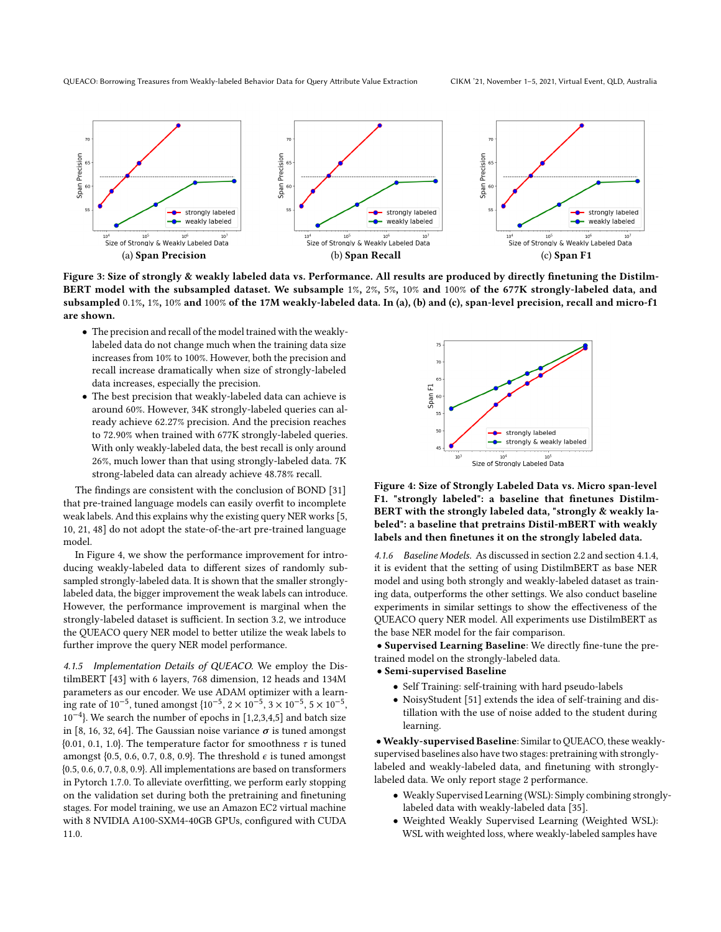QUEACO: Borrowing Treasures from Weakly-labeled Behavior Data for Query Attribute Value Extraction CIKM '21, November 1–5, 2021, Virtual Event, QLD, Australia

<span id="page-6-0"></span>

Figure 3: Size of strongly & weakly labeled data vs. Performance. All results are produced by directly finetuning the Distilm-BERT model with the subsampled dataset. We subsample 1%, 2%, 5%, 10% and 100% of the 677K strongly-labeled data, and subsampled 0.1%, 1%, 10% and 100% of the 17M weakly-labeled data. In (a), (b) and (c), span-level precision, recall and micro-f1 are shown.

- The precision and recall of the model trained with the weaklylabeled data do not change much when the training data size increases from 10% to 100%. However, both the precision and recall increase dramatically when size of strongly-labeled data increases, especially the precision.
- The best precision that weakly-labeled data can achieve is around 60%. However, 34K strongly-labeled queries can already achieve 62.27% precision. And the precision reaches to 72.90% when trained with 677K strongly-labeled queries. With only weakly-labeled data, the best recall is only around 26%, much lower than that using strongly-labeled data. 7K strong-labeled data can already achieve 48.78% recall.

The findings are consistent with the conclusion of BOND [\[31\]](#page-9-12) that pre-trained language models can easily overfit to incomplete weak labels. And this explains why the existing query NER works [\[5,](#page-9-2) [10,](#page-9-5) [21,](#page-9-6) [48\]](#page-9-3) do not adopt the state-of-the-art pre-trained language model.

In Figure [4,](#page-6-1) we show the performance improvement for introducing weakly-labeled data to different sizes of randomly subsampled strongly-labeled data. It is shown that the smaller stronglylabeled data, the bigger improvement the weak labels can introduce. However, the performance improvement is marginal when the strongly-labeled dataset is sufficient. In section [3.2,](#page-2-1) we introduce the QUEACO query NER model to better utilize the weak labels to further improve the query NER model performance.

4.1.5 Implementation Details of QUEACO. We employ the DistilmBERT [\[43\]](#page-9-13) with 6 layers, 768 dimension, 12 heads and 134M parameters as our encoder. We use ADAM optimizer with a learn- $\frac{1}{2}$  ing rate of 10<sup>-5</sup>, tuned amongst {10<sup>-5</sup>, 2 × 10<sup>-5</sup>, 3 × 10<sup>-5</sup>, 5 × 10<sup>-5</sup>, 10−<sup>4</sup> }. We search the number of epochs in [1,2,3,4,5] and batch size in [8, 16, 32, 64]. The Gaussian noise variance  $\sigma$  is tuned amongst {0.01, 0.1, 1.0}. The temperature factor for smoothness  $\tau$  is tuned amongst {0.5, 0.6, 0.7, 0.8, 0.9}. The threshold  $\epsilon$  is tuned amongst {0.5, 0.6, 0.7, 0.8, 0.9}. All implementations are based on transformers in Pytorch 1.7.0. To alleviate overfitting, we perform early stopping on the validation set during both the pretraining and finetuning stages. For model training, we use an Amazon EC2 virtual machine with 8 NVIDIA A100-SXM4-40GB GPUs, configured with CUDA 11.0.

<span id="page-6-1"></span>

Figure 4: Size of Strongly Labeled Data vs. Micro span-level F1. "strongly labeled": a baseline that finetunes Distilm-BERT with the strongly labeled data, "strongly & weakly labeled": a baseline that pretrains Distil-mBERT with weakly labels and then finetunes it on the strongly labeled data.

4.1.6 Baseline Models. As discussed in section [2.2](#page-2-2) and section [4.1.4,](#page-5-3) it is evident that the setting of using DistilmBERT as base NER model and using both strongly and weakly-labeled dataset as training data, outperforms the other settings. We also conduct baseline experiments in similar settings to show the effectiveness of the QUEACO query NER model. All experiments use DistilmBERT as the base NER model for the fair comparison.

• Supervised Learning Baseline: We directly fine-tune the pretrained model on the strongly-labeled data.

- Semi-supervised Baseline
	- Self Training: self-training with hard pseudo-labels
	- NoisyStudent [\[51\]](#page-10-5) extends the idea of self-training and distillation with the use of noise added to the student during learning.

•Weakly-supervised Baseline: Similar to QUEACO, these weaklysupervised baselines also have two stages: pretraining with stronglylabeled and weakly-labeled data, and finetuning with stronglylabeled data. We only report stage 2 performance.

- Weakly Supervised Learning (WSL): Simply combining stronglylabeled data with weakly-labeled data [\[35\]](#page-9-31).
- Weighted Weakly Supervised Learning (Weighted WSL): WSL with weighted loss, where weakly-labeled samples have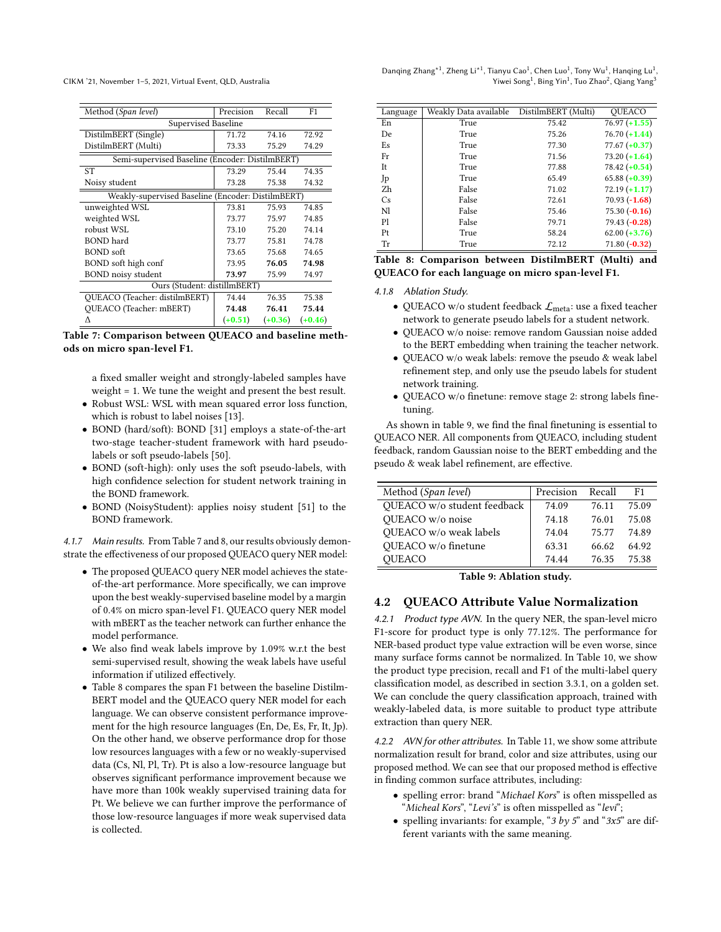<span id="page-7-0"></span>

| Method (Span level)                               | Precision | Recall    | F <sub>1</sub> |  |  |
|---------------------------------------------------|-----------|-----------|----------------|--|--|
| <b>Supervised Baseline</b>                        |           |           |                |  |  |
| DistilmBERT (Single)                              | 71.72     | 74.16     | 72.92          |  |  |
| DistilmBERT (Multi)                               | 73.33     | 75.29     | 74.29          |  |  |
| Semi-supervised Baseline (Encoder: DistilmBERT)   |           |           |                |  |  |
| <b>ST</b>                                         | 73.29     | 75.44     | 74.35          |  |  |
| Noisy student                                     | 73.28     | 75.38     | 74.32          |  |  |
| Weakly-supervised Baseline (Encoder: DistilmBERT) |           |           |                |  |  |
| unweighted WSL                                    | 73.81     | 75.93     | 74.85          |  |  |
| weighted WSL                                      | 73.77     | 75.97     | 74.85          |  |  |
| robust WSL                                        | 73.10     | 75.20     | 74.14          |  |  |
| BOND hard                                         | 73.77     | 75.81     | 74.78          |  |  |
| BOND soft                                         | 73.65     | 75.68     | 74.65          |  |  |
| BOND soft high conf                               | 73.95     | 76.05     | 74.98          |  |  |
| <b>BOND</b> noisy student                         | 73.97     | 75.99     | 74.97          |  |  |
| Ours (Student: distillmBERT)                      |           |           |                |  |  |
| QUEACO (Teacher: distilmBERT)                     | 74.44     | 76.35     | 75.38          |  |  |
| <b>OUEACO</b> (Teacher: mBERT)                    | 74.48     | 76.41     | 75.44          |  |  |
| Λ                                                 | $(+0.51)$ | $(+0.36)$ | $(+0.46)$      |  |  |

Table 7: Comparison between QUEACO and baseline methods on micro span-level F1.

a fixed smaller weight and strongly-labeled samples have weight = 1. We tune the weight and present the best result.

- Robust WSL: WSL with mean squared error loss function, which is robust to label noises [\[13\]](#page-9-32).
- BOND (hard/soft): BOND [\[31\]](#page-9-12) employs a state-of-the-art two-stage teacher-student framework with hard pseudolabels or soft pseudo-labels [\[50\]](#page-10-6).
- BOND (soft-high): only uses the soft pseudo-labels, with high confidence selection for student network training in the BOND framework.
- BOND (NoisyStudent): applies noisy student [\[51\]](#page-10-5) to the BOND framework.

4.1.7 Main results. From Table [7](#page-7-0) and [8,](#page-7-1) our results obviously demonstrate the effectiveness of our proposed QUEACO query NER model:

- The proposed QUEACO query NER model achieves the stateof-the-art performance. More specifically, we can improve upon the best weakly-supervised baseline model by a margin of 0.4% on micro span-level F1. QUEACO query NER model with mBERT as the teacher network can further enhance the model performance.
- We also find weak labels improve by 1.09% w.r.t the best semi-supervised result, showing the weak labels have useful information if utilized effectively.
- Table [8](#page-7-1) compares the span F1 between the baseline Distilm-BERT model and the QUEACO query NER model for each language. We can observe consistent performance improvement for the high resource languages (En, De, Es, Fr, It, Jp). On the other hand, we observe performance drop for those low resources languages with a few or no weakly-supervised data (Cs, Nl, Pl, Tr). Pt is also a low-resource language but observes significant performance improvement because we have more than 100k weakly supervised training data for Pt. We believe we can further improve the performance of those low-resource languages if more weak supervised data is collected.

| Danging Zhang <sup>*1</sup> , Zheng Li <sup>*1</sup> , Tianyu Cao <sup>1</sup> , Chen Luo <sup>1</sup> , Tony Wu <sup>1</sup> , Hanging Lu <sup>1</sup> , |                                                                                                   |  |
|-----------------------------------------------------------------------------------------------------------------------------------------------------------|---------------------------------------------------------------------------------------------------|--|
|                                                                                                                                                           | Yiwei Song <sup>1</sup> , Bing Yin <sup>1</sup> , Tuo Zhao <sup>2</sup> , Qiang Yang <sup>3</sup> |  |

<span id="page-7-1"></span>

| Language | Weakly Data available | DistilmBERT (Multi) | QUEACO          |
|----------|-----------------------|---------------------|-----------------|
| En       | True                  | 75.42               | $76.97 (+1.55)$ |
| De       | True                  | 75.26               | $76.70 (+1.44)$ |
| Es       | True                  | 77.30               | $77.67 (+0.37)$ |
| Fr       | True                  | 71.56               | $73.20 (+1.64)$ |
| It       | True                  | 77.88               | $78.42 (+0.54)$ |
| Jp       | True                  | 65.49               | $65.88 (+0.39)$ |
| Zh.      | False                 | 71.02               | $72.19 (+1.17)$ |
| Cs       | False                 | 72.61               | $70.93(-1.68)$  |
| Nl       | False                 | 75.46               | $75.30(-0.16)$  |
| P1       | False                 | 79.71               | $79.43(-0.28)$  |
| Pt       | True                  | 58.24               | $62.00 (+3.76)$ |
| Tr       | True                  | 72.12               | $71.80(-0.32)$  |

Table 8: Comparison between DistilmBERT (Multi) and QUEACO for each language on micro span-level F1.

4.1.8 Ablation Study.

- QUEACO w/o student feedback  $\mathcal{L}_{meta}$ : use a fixed teacher network to generate pseudo labels for a student network.
- QUEACO w/o noise: remove random Gaussian noise added to the BERT embedding when training the teacher network.
- QUEACO w/o weak labels: remove the pseudo & weak label refinement step, and only use the pseudo labels for student network training.
- QUEACO w/o finetune: remove stage 2: strong labels finetuning.

As shown in table [9,](#page-7-2) we find the final finetuning is essential to QUEACO NER. All components from QUEACO, including student feedback, random Gaussian noise to the BERT embedding and the pseudo & weak label refinement, are effective.

<span id="page-7-2"></span>

| Method (Span level)         | Precision | Recall | F1.   |
|-----------------------------|-----------|--------|-------|
| QUEACO w/o student feedback | 74.09     | 76.11  | 75.09 |
| QUEACO w/o noise            | 74.18     | 76.01  | 75.08 |
| QUEACO w/o weak labels      | 74.04     | 75.77  | 74.89 |
| QUEACO w/o finetune         | 63.31     | 66.62  | 64.92 |
| <b>OUEACO</b>               | 74.44     | 76.35  | 75 38 |

Table 9: Ablation study.

# 4.2 QUEACO Attribute Value Normalization

4.2.1 Product type AVN. In the query NER, the span-level micro F1-score for product type is only 77.12%. The performance for NER-based product type value extraction will be even worse, since many surface forms cannot be normalized. In Table [10,](#page-8-0) we show the product type precision, recall and F1 of the multi-label query classification model, as described in section [3.3.1,](#page-4-1) on a golden set. We can conclude the query classification approach, trained with weakly-labeled data, is more suitable to product type attribute extraction than query NER.

4.2.2 AVN for other attributes. In Table [11,](#page-8-1) we show some attribute normalization result for brand, color and size attributes, using our proposed method. We can see that our proposed method is effective in finding common surface attributes, including:

- spelling error: brand "Michael Kors" is often misspelled as "Micheal Kors", "Levi's" is often misspelled as "levi";
- spelling invariants: for example, " $3 by 5$ " and " $3x5$ " are different variants with the same meaning.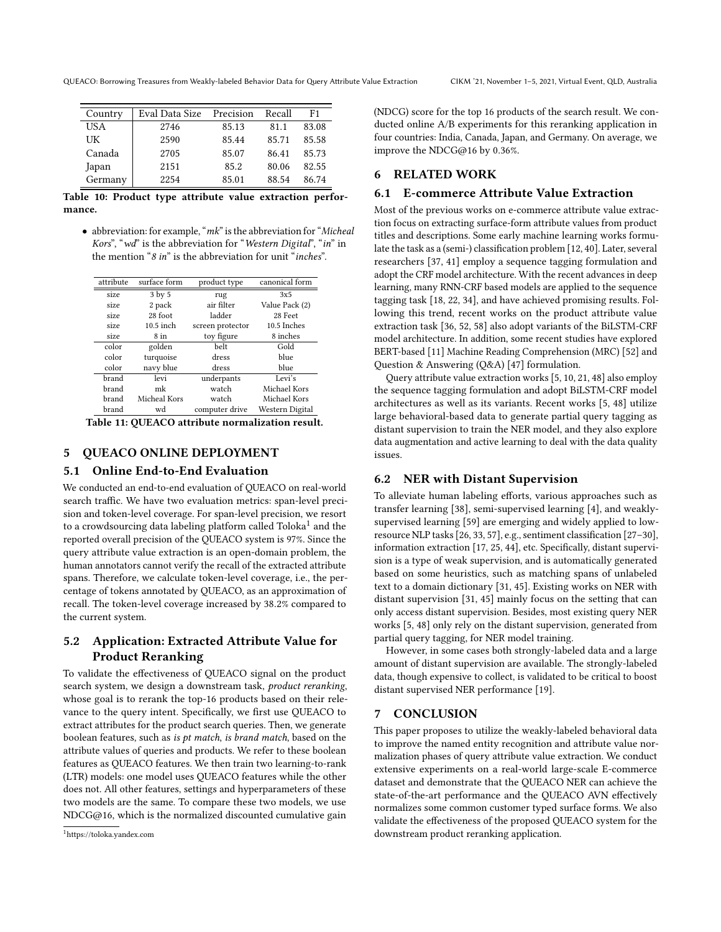| Country | Eval Data Size | Precision | Recall | F1    |
|---------|----------------|-----------|--------|-------|
| USA     | 2746           | 85.13     | 81.1   | 83.08 |
| UK      | 2590           | 85.44     | 85.71  | 85.58 |
| Canada  | 2705           | 85.07     | 86.41  | 85.73 |
| Japan   | 2151           | 85.2      | 80.06  | 82.55 |
| Germany | 2254           | 85.01     | 88.54  | 86.74 |

Table 10: Product type attribute value extraction performance.

• abbreviation: for example, " $mk$ " is the abbreviation for "Micheal" Kors", "wd" is the abbreviation for "Western Digital", "in" in the mention "8 in" is the abbreviation for unit "inches".

<span id="page-8-1"></span>

| attribute | surface form | product type     | canonical form  |
|-----------|--------------|------------------|-----------------|
| size      | 3 by 5       | rug              | 3x5             |
| size      | 2 pack       | air filter       | Value Pack (2)  |
| size      | 28 foot      | ladder           | 28 Feet         |
| size      | $10.5$ inch  | screen protector | 10.5 Inches     |
| size      | 8 in         | toy figure       | 8 inches        |
| color     | golden       | belt             | Gold            |
| color     | turquoise    | dress            | blue            |
| color     | navy blue    | dress            | blue            |
| brand     | levi         | underpants       | Levi's          |
| brand     | mk           | watch            | Michael Kors    |
| brand     | Micheal Kors | watch            | Michael Kors    |
| brand     | wd           | computer drive   | Western Digital |

|  |  |  |  | Table 11: QUEACO attribute normalization result. |  |
|--|--|--|--|--------------------------------------------------|--|
|--|--|--|--|--------------------------------------------------|--|

# 5 QUEACO ONLINE DEPLOYMENT

# 5.1 Online End-to-End Evaluation

We conducted an end-to-end evaluation of QUEACO on real-world search traffic. We have two evaluation metrics: span-level precision and token-level coverage. For span-level precision, we resort to a crowdsourcing data labeling platform called Toloka $^{\rm 1}$  $^{\rm 1}$  $^{\rm 1}$  and the reported overall precision of the QUEACO system is 97%. Since the query attribute value extraction is an open-domain problem, the human annotators cannot verify the recall of the extracted attribute spans. Therefore, we calculate token-level coverage, i.e., the percentage of tokens annotated by QUEACO, as an approximation of recall. The token-level coverage increased by 38.2% compared to the current system.

# 5.2 Application: Extracted Attribute Value for Product Reranking

To validate the effectiveness of QUEACO signal on the product search system, we design a downstream task, product reranking, whose goal is to rerank the top-16 products based on their relevance to the query intent. Specifically, we first use QUEACO to extract attributes for the product search queries. Then, we generate boolean features, such as is pt match, is brand match, based on the attribute values of queries and products. We refer to these boolean features as QUEACO features. We then train two learning-to-rank (LTR) models: one model uses QUEACO features while the other does not. All other features, settings and hyperparameters of these two models are the same. To compare these two models, we use NDCG@16, which is the normalized discounted cumulative gain

(NDCG) score for the top 16 products of the search result. We conducted online A/B experiments for this reranking application in four countries: India, Canada, Japan, and Germany. On average, we improve the NDCG@16 by 0.36%.

# 6 RELATED WORK

# 6.1 E-commerce Attribute Value Extraction

Most of the previous works on e-commerce attribute value extraction focus on extracting surface-form attribute values from product titles and descriptions. Some early machine learning works formulate the task as a (semi-) classification problem [\[12,](#page-9-33) [40\]](#page-9-34). Later, several researchers [\[37,](#page-9-35) [41\]](#page-9-1) employ a sequence tagging formulation and adopt the CRF model architecture. With the recent advances in deep learning, many RNN-CRF based models are applied to the sequence tagging task [\[18,](#page-9-7) [22,](#page-9-29) [34\]](#page-9-30), and have achieved promising results. Following this trend, recent works on the product attribute value extraction task [\[36,](#page-9-26) [52,](#page-10-7) [58\]](#page-10-8) also adopt variants of the BiLSTM-CRF model architecture. In addition, some recent studies have explored BERT-based [\[11\]](#page-9-10) Machine Reading Comprehension (MRC) [\[52\]](#page-10-7) and Question & Answering (Q&A) [\[47\]](#page-9-36) formulation.

Query attribute value extraction works [\[5,](#page-9-2) [10,](#page-9-5) [21,](#page-9-6) [48\]](#page-9-3) also employ the sequence tagging formulation and adopt BiLSTM-CRF model architectures as well as its variants. Recent works [\[5,](#page-9-2) [48\]](#page-9-3) utilize large behavioral-based data to generate partial query tagging as distant supervision to train the NER model, and they also explore data augmentation and active learning to deal with the data quality issues.

# 6.2 NER with Distant Supervision

To alleviate human labeling efforts, various approaches such as transfer learning [\[38\]](#page-9-37), semi-supervised learning [\[4\]](#page-9-38), and weaklysupervised learning [\[59\]](#page-10-9) are emerging and widely applied to lowresource NLP tasks [\[26,](#page-9-39) [33,](#page-9-40) [57\]](#page-10-10), e.g., sentiment classification [\[27–](#page-9-41)[30\]](#page-9-42), information extraction [\[17,](#page-9-43) [25,](#page-9-44) [44\]](#page-9-45), etc. Specifically, distant supervision is a type of weak supervision, and is automatically generated based on some heuristics, such as matching spans of unlabeled text to a domain dictionary [\[31,](#page-9-12) [45\]](#page-9-9). Existing works on NER with distant supervision [\[31,](#page-9-12) [45\]](#page-9-9) mainly focus on the setting that can only access distant supervision. Besides, most existing query NER works [\[5,](#page-9-2) [48\]](#page-9-3) only rely on the distant supervision, generated from partial query tagging, for NER model training.

However, in some cases both strongly-labeled data and a large amount of distant supervision are available. The strongly-labeled data, though expensive to collect, is validated to be critical to boost distant supervised NER performance [\[19\]](#page-9-46).

### 7 CONCLUSION

This paper proposes to utilize the weakly-labeled behavioral data to improve the named entity recognition and attribute value normalization phases of query attribute value extraction. We conduct extensive experiments on a real-world large-scale E-commerce dataset and demonstrate that the QUEACO NER can achieve the state-of-the-art performance and the QUEACO AVN effectively normalizes some common customer typed surface forms. We also validate the effectiveness of the proposed QUEACO system for the downstream product reranking application.

<span id="page-8-0"></span>QUEACO: Borrowing Treasures from Weakly-labeled Behavior Data for Query Attribute Value Extraction CIKM '21, November 1–5, 2021, Virtual Event, QLD, Australia

<span id="page-8-2"></span><sup>1</sup>https://toloka.yandex.com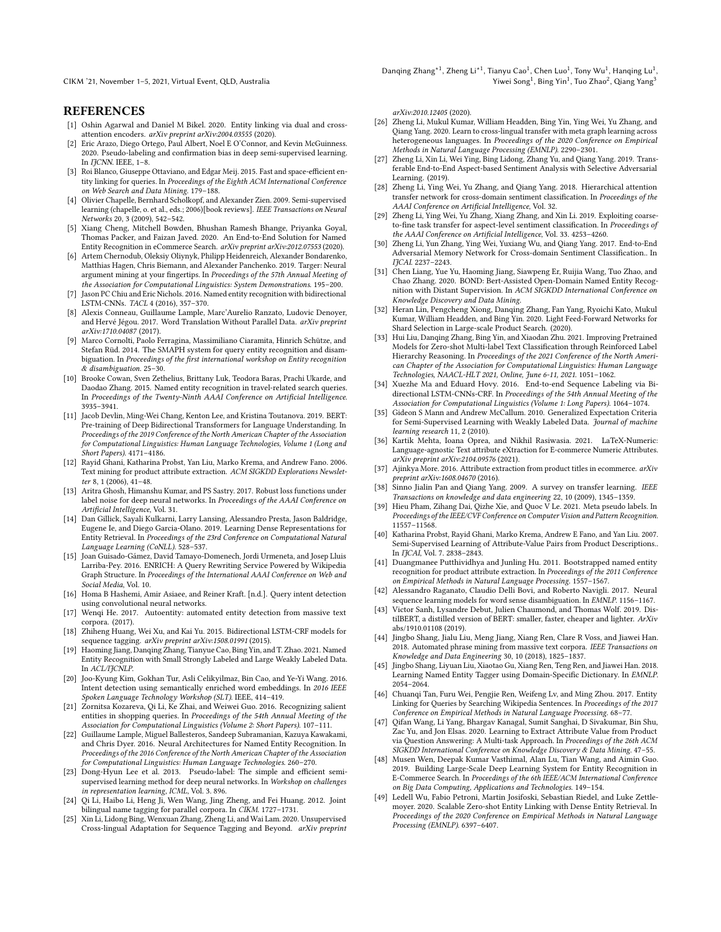### REFERENCES

- <span id="page-9-23"></span>[1] Oshin Agarwal and Daniel M Bikel. 2020. Entity linking via dual and crossattention encoders. arXiv preprint arXiv:2004.03555 (2020).
- <span id="page-9-15"></span>[2] Eric Arazo, Diego Ortego, Paul Albert, Noel E O'Connor, and Kevin McGuinness. 2020. Pseudo-labeling and confirmation bias in deep semi-supervised learning. In ITCNN. IEEE, 1-8.
- <span id="page-9-20"></span>[3] Roi Blanco, Giuseppe Ottaviano, and Edgar Meij. 2015. Fast and space-efficient entity linking for queries. In Proceedings of the Eighth ACM International Conference on Web Search and Data Mining. 179–188.
- <span id="page-9-38"></span>[4] Olivier Chapelle, Bernhard Scholkopf, and Alexander Zien. 2009. Semi-supervised learning (chapelle, o. et al., eds.; 2006)[book reviews]. IEEE Transactions on Neural Networks 20, 3 (2009), 542–542.
- <span id="page-9-2"></span>[5] Xiang Cheng, Mitchell Bowden, Bhushan Ramesh Bhange, Priyanka Goyal, Thomas Packer, and Faizan Javed. 2020. An End-to-End Solution for Named Entity Recognition in eCommerce Search. arXiv preprint arXiv:2012.07553 (2020).
- <span id="page-9-28"></span>[6] Artem Chernodub, Oleksiy Oliynyk, Philipp Heidenreich, Alexander Bondarenko, Matthias Hagen, Chris Biemann, and Alexander Panchenko. 2019. Targer: Neural argument mining at your fingertips. In Proceedings of the 57th Annual Meeting of the Association for Computational Linguistics: System Demonstrations. 195–200.
- <span id="page-9-0"></span>[7] Jason PC Chiu and Eric Nichols. 2016. Named entity recognition with bidirectional LSTM-CNNs. TACL 4 (2016), 357–370.
- <span id="page-9-27"></span>[8] Alexis Conneau, Guillaume Lample, Marc'Aurelio Ranzato, Ludovic Denoyer, and Hervé Jégou. 2017. Word Translation Without Parallel Data. arXiv preprint arXiv:1710.04087 (2017).
- <span id="page-9-21"></span>[9] Marco Cornolti, Paolo Ferragina, Massimiliano Ciaramita, Hinrich Schütze, and Stefan Rüd. 2014. The SMAPH system for query entity recognition and disambiguation. In Proceedings of the first international workshop on Entity recognition & disambiguation. 25–30.
- <span id="page-9-5"></span>[10] Brooke Cowan, Sven Zethelius, Brittany Luk, Teodora Baras, Prachi Ukarde, and Daodao Zhang. 2015. Named entity recognition in travel-related search queries. In Proceedings of the Twenty-Ninth AAAI Conference on Artificial Intelligence. 3935–3941.
- <span id="page-9-10"></span>[11] Jacob Devlin, Ming-Wei Chang, Kenton Lee, and Kristina Toutanova. 2019. BERT: Pre-training of Deep Bidirectional Transformers for Language Understanding. In Proceedings of the 2019 Conference of the North American Chapter of the Association for Computational Linguistics: Human Language Technologies, Volume 1 (Long and Short Papers). 4171–4186.
- <span id="page-9-33"></span>[12] Rayid Ghani, Katharina Probst, Yan Liu, Marko Krema, and Andrew Fano. 2006. Text mining for product attribute extraction. ACM SIGKDD Explorations Newsletter 8, 1 (2006), 41–48.
- <span id="page-9-32"></span>[13] Aritra Ghosh, Himanshu Kumar, and PS Sastry. 2017. Robust loss functions under label noise for deep neural networks. In Proceedings of the AAAI Conference on Artificial Intelligence, Vol. 31.
- <span id="page-9-25"></span>[14] Dan Gillick, Sayali Kulkarni, Larry Lansing, Alessandro Presta, Jason Baldridge, Eugene Ie, and Diego Garcia-Olano. 2019. Learning Dense Representations for Entity Retrieval. In Proceedings of the 23rd Conference on Computational Natural Language Learning (CoNLL). 528–537.
- <span id="page-9-4"></span>[15] Joan Guisado-Gámez, David Tamayo-Domenech, Jordi Urmeneta, and Josep Lluis Larriba-Pey. 2016. ENRICH: A Query Rewriting Service Powered by Wikipedia Graph Structure. In Proceedings of the International AAAI Conference on Web and Social Media, Vol. 10.
- <span id="page-9-17"></span>[16] Homa B Hashemi, Amir Asiaee, and Reiner Kraft. [n.d.]. Query intent detection using convolutional neural networks.
- <span id="page-9-43"></span>[17] Wenqi He. 2017. Autoentity: automated entity detection from massive text corpora. (2017).
- <span id="page-9-7"></span>[18] Zhiheng Huang, Wei Xu, and Kai Yu. 2015. Bidirectional LSTM-CRF models for sequence tagging. arXiv preprint arXiv:1508.01991 (2015).
- <span id="page-9-46"></span>[19] Haoming Jiang, Danqing Zhang, Tianyue Cao, Bing Yin, and T. Zhao. 2021. Named Entity Recognition with Small Strongly Labeled and Large Weakly Labeled Data. In ACL/IICNLP.
- <span id="page-9-18"></span>[20] Joo-Kyung Kim, Gokhan Tur, Asli Celikyilmaz, Bin Cao, and Ye-Yi Wang. 2016. Intent detection using semantically enriched word embeddings. In 2016 IEEE Spoken Language Technology Workshop (SLT). IEEE, 414–419.
- <span id="page-9-6"></span>[21] Zornitsa Kozareva, Qi Li, Ke Zhai, and Weiwei Guo. 2016. Recognizing salient entities in shopping queries. In Proceedings of the 54th Annual Meeting of the Association for Computational Linguistics (Volume 2: Short Papers). 107–111.
- <span id="page-9-29"></span>[22] Guillaume Lample, Miguel Ballesteros, Sandeep Subramanian, Kazuya Kawakami, and Chris Dyer. 2016. Neural Architectures for Named Entity Recognition. In Proceedings of the 2016 Conference of the North American Chapter of the Association for Computational Linguistics: Human Language Technologies. 260–270.
- <span id="page-9-14"></span>[23] Dong-Hyun Lee et al. 2013. Pseudo-label: The simple and efficient semisupervised learning method for deep neural networks. In Workshop on challenges in representation learning, ICML, Vol. 3. 896.
- <span id="page-9-11"></span>[24] Qi Li, Haibo Li, Heng Ji, Wen Wang, Jing Zheng, and Fei Huang. 2012. Joint bilingual name tagging for parallel corpora. In CIKM. 1727–1731.
- <span id="page-9-44"></span>[25] Xin Li, Lidong Bing, Wenxuan Zhang, Zheng Li, and Wai Lam. 2020. Unsupervised Cross-lingual Adaptation for Sequence Tagging and Beyond. arXiv preprint

Danqing Zhang $^{\ast1}$ , Zheng Li $^{\ast1}$ , Tianyu Cao $^1$ , Chen Luo $^1$ , Tony Wu $^1$ , Hanqing Lu $^1$ , Yiwei Song $^1$ , Bing Yin $^1$ , Tuo Zhao $^2$ , Qiang Yang $^3$ 

arXiv:2010.12405 (2020).

- <span id="page-9-39"></span>[26] Zheng Li, Mukul Kumar, William Headden, Bing Yin, Ying Wei, Yu Zhang, and Qiang Yang. 2020. Learn to cross-lingual transfer with meta graph learning across heterogeneous languages. In Proceedings of the 2020 Conference on Empirical Methods in Natural Language Processing (EMNLP). 2290–2301.
- <span id="page-9-41"></span>[27] Zheng Li, Xin Li, Wei Ying, Bing Lidong, Zhang Yu, and Qiang Yang. 2019. Transferable End-to-End Aspect-based Sentiment Analysis with Selective Adversarial Learning. (2019).
- [28] Zheng Li, Ying Wei, Yu Zhang, and Qiang Yang. 2018. Hierarchical attention transfer network for cross-domain sentiment classification. In Proceedings of the AAAI Conference on Artificial Intelligence, Vol. 32.
- [29] Zheng Li, Ying Wei, Yu Zhang, Xiang Zhang, and Xin Li. 2019. Exploiting coarseto-fine task transfer for aspect-level sentiment classification. In Proceedings of the AAAI Conference on Artificial Intelligence, Vol. 33. 4253–4260.
- <span id="page-9-42"></span>[30] Zheng Li, Yun Zhang, Ying Wei, Yuxiang Wu, and Qiang Yang. 2017. End-to-End Adversarial Memory Network for Cross-domain Sentiment Classification.. In IJCAI. 2237–2243.
- <span id="page-9-12"></span>[31] Chen Liang, Yue Yu, Haoming Jiang, Siawpeng Er, Ruijia Wang, Tuo Zhao, and Chao Zhang. 2020. BOND: Bert-Assisted Open-Domain Named Entity Recognition with Distant Supervision. In ACM SIGKDD International Conference on Knowledge Discovery and Data Mining.
- <span id="page-9-19"></span>[32] Heran Lin, Pengcheng Xiong, Danqing Zhang, Fan Yang, Ryoichi Kato, Mukul Kumar, William Headden, and Bing Yin. 2020. Light Feed-Forward Networks for Shard Selection in Large-scale Product Search. (2020).
- <span id="page-9-40"></span>[33] Hui Liu, Danqing Zhang, Bing Yin, and Xiaodan Zhu. 2021. Improving Pretrained Models for Zero-shot Multi-label Text Classification through Reinforced Label Hierarchy Reasoning. In Proceedings of the 2021 Conference of the North American Chapter of the Association for Computational Linguistics: Human Language Technologies, NAACL-HLT 2021, Online, June 6-11, 2021. 1051–1062.
- <span id="page-9-30"></span>Xuezhe Ma and Eduard Hovy. 2016. End-to-end Sequence Labeling via Bidirectional LSTM-CNNs-CRF. In Proceedings of the 54th Annual Meeting of the Association for Computational Linguistics (Volume 1: Long Papers). 1064–1074.
- <span id="page-9-31"></span>[35] Gideon S Mann and Andrew McCallum. 2010. Generalized Expectation Criteria for Semi-Supervised Learning with Weakly Labeled Data.  $\hat{J}\!{\it our}$ nal of machine learning research 11, 2 (2010).
- <span id="page-9-26"></span>[36] Kartik Mehta, Ioana Oprea, and Nikhil Rasiwasia. 2021. LaTeX-Numeric: Language-agnostic Text attribute eXtraction for E-commerce Numeric Attributes. arXiv preprint arXiv:2104.09576 (2021).
- <span id="page-9-35"></span>[37] Ajinkya More. 2016. Attribute extraction from product titles in ecommerce. arXiv preprint arXiv:1608.04670 (2016).
- <span id="page-9-37"></span>[38] Sinno Jialin Pan and Qiang Yang. 2009. A survey on transfer learning. IEEE Transactions on knowledge and data engineering 22, 10 (2009), 1345–1359.
- <span id="page-9-16"></span>[39] Hieu Pham, Zihang Dai, Qizhe Xie, and Quoc V Le. 2021. Meta pseudo labels. In Proceedings of the IEEE/CVF Conference on Computer Vision and Pattern Recognition. 11557–11568.
- <span id="page-9-34"></span>[40] Katharina Probst, Rayid Ghani, Marko Krema, Andrew E Fano, and Yan Liu. 2007. Semi-Supervised Learning of Attribute-Value Pairs from Product Descriptions.. In IJCAI, Vol. 7. 2838-2843.
- <span id="page-9-1"></span>[41] Duangmanee Putthividhya and Junling Hu. 2011. Bootstrapped named entity recognition for product attribute extraction. In Proceedings of the 2011 Conference on Empirical Methods in Natural Language Processing. 1557–1567.
- <span id="page-9-8"></span>[42] Alessandro Raganato, Claudio Delli Bovi, and Roberto Navigli. 2017. Neural sequence learning models for word sense disambiguation. In EMNLP, 1156–1167.
- <span id="page-9-13"></span>[43] Victor Sanh, Lysandre Debut, Julien Chaumond, and Thomas Wolf. 2019. DistilBERT, a distilled version of BERT: smaller, faster, cheaper and lighter. ArXiv abs/1910.01108 (2019).
- <span id="page-9-45"></span>[44] Jingbo Shang, Jialu Liu, Meng Jiang, Xiang Ren, Clare R Voss, and Jiawei Han. 2018. Automated phrase mining from massive text corpora. IEEE Transactions on Knowledge and Data Engineering 30, 10 (2018), 1825–1837.
- <span id="page-9-9"></span>[45] Jingbo Shang, Liyuan Liu, Xiaotao Gu, Xiang Ren, Teng Ren, and Jiawei Han. 2018. Learning Named Entity Tagger using Domain-Specific Dictionary. In EMNLP. 2054–2064.
- <span id="page-9-22"></span>[46] Chuanqi Tan, Furu Wei, Pengjie Ren, Weifeng Lv, and Ming Zhou. 2017. Entity Linking for Queries by Searching Wikipedia Sentences. In Proceedings of the 2017 Conference on Empirical Methods in Natural Language Processing. 68–77.
- <span id="page-9-36"></span>[47] Qifan Wang, Li Yang, Bhargav Kanagal, Sumit Sanghai, D Sivakumar, Bin Shu, Zac Yu, and Jon Elsas. 2020. Learning to Extract Attribute Value from Product via Question Answering: A Multi-task Approach. In Proceedings of the 26th ACM SIGKDD International Conference on Knowledge Discovery & Data Mining. 47–55.
- <span id="page-9-3"></span>[48] Musen Wen, Deepak Kumar Vasthimal, Alan Lu, Tian Wang, and Aimin Guo. 2019. Building Large-Scale Deep Learning System for Entity Recognition in E-Commerce Search. In Proceedings of the 6th IEEE/ACM International Conference on Big Data Computing, Applications and Technologies. 149–154.
- <span id="page-9-24"></span>[49] Ledell Wu, Fabio Petroni, Martin Josifoski, Sebastian Riedel, and Luke Zettlemoyer. 2020. Scalable Zero-shot Entity Linking with Dense Entity Retrieval. In Proceedings of the 2020 Conference on Empirical Methods in Natural Language Processing (EMNLP). 6397–6407.